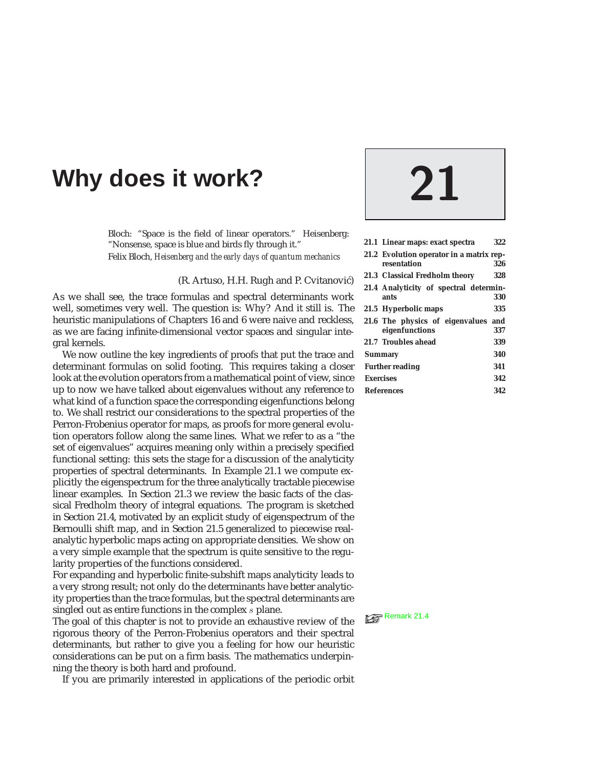# **Why does it work? 21**

Bloch: "Space is the field of linear operators." Heisenberg: "Nonsense, space is blue and birds fly through it." Felix Bloch, *Heisenberg and the early days of quantum mechanics*

### (R. Artuso, H.H. Rugh and P. Cvitanović)

As we shall see, the trace formulas and spectral determinants work well, sometimes very well. The question is: Why? And it still is. The heuristic manipulations of Chapters 16 and 6 were naive and reckless, as we are facing infinite-dimensional vector spaces and singular integral kernels.

We now outline the key ingredients of proofs that put the trace and determinant formulas on solid footing. This requires taking a closer look at the evolution operators from a mathematical point of view, since up to now we have talked about eigenvalues without any reference to what kind of a function space the corresponding eigenfunctions belong to. We shall restrict our considerations to the spectral properties of the Perron-Frobenius operator for maps, as proofs for more general evolution operators follow along the same lines. What we refer to as a "the set of eigenvalues" acquires meaning only within a precisely specified functional setting: this sets the stage for a discussion of the analyticity properties of spectral determinants. In Example 21.1 we compute explicitly the eigenspectrum for the three analytically tractable piecewise linear examples. In Section 21.3 we review the basic facts of the classical Fredholm theory of integral equations. The program is sketched in Section 21.4, motivated by an explicit study of eigenspectrum of the Bernoulli shift map, and in Section 21.5 generalized to piecewise realanalytic hyperbolic maps acting on appropriate densities. We show on a very simple example that the spectrum is quite sensitive to the regularity properties of the functions considered.

For expanding and hyperbolic finite-subshift maps analyticity leads to a very strong result; not only do the determinants have better analyticity properties than the trace formulas, but the spectral determinants are singled out as entire functions in the complex *s* plane.<br>The goal of this chapter is not to provide an exhaustive review of the  $\mathbb{R}^{\mathbb{R}^{\mathbb{R}^{\mathbb{R}^{\mathbb{R}^{\mathbb{R}^{\mathbb{R}^{\mathbb{R}^{\mathbb{R}^{\mathbb{R}^{\mathbb{R}^{\mathbb{R}^{\mathbb{R}^$ 

rigorous theory of the Perron-Frobenius operators and their spectral determinants, but rather to give you a feeling for how our heuristic considerations can be put on a firm basis. The mathematics underpinning the theory is both hard and profound.

If you are primarily interested in applications of the periodic orbit

|                        | 21.1 Linear maps: exact spectra                         | 322 |
|------------------------|---------------------------------------------------------|-----|
|                        | 21.2 Evolution operator in a matrix rep-<br>resentation | 326 |
|                        | 21.3 Classical Fredholm theory                          | 328 |
|                        | 21.4 Analyticity of spectral determin-<br>ants          | 330 |
|                        | 21.5 Hyperbolic maps                                    | 335 |
|                        | 21.6 The physics of eigenvalues and<br>eigenfunctions   | 337 |
|                        | 21.7 Troubles ahead                                     | 339 |
| <b>Summary</b>         |                                                         | 340 |
| <b>Further reading</b> |                                                         | 341 |
| <b>Exercises</b>       |                                                         | 342 |
| <b>References</b>      |                                                         | 342 |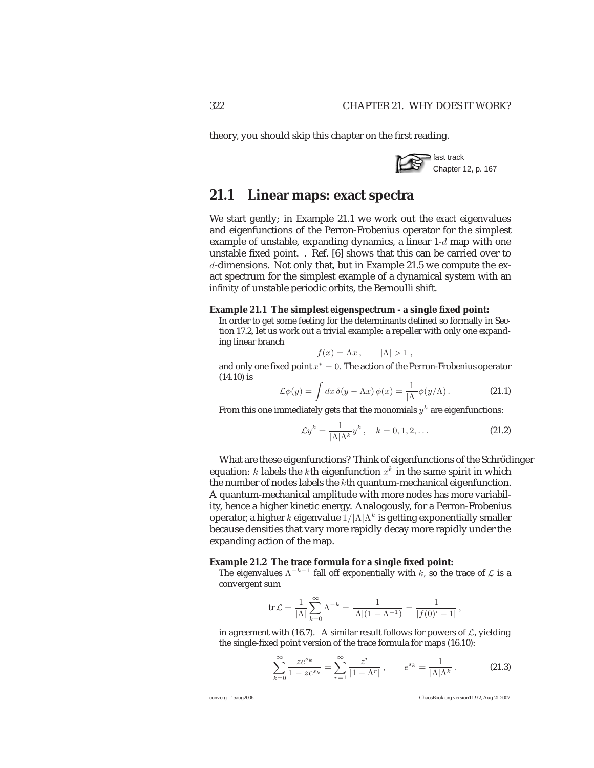theory, you should skip this chapter on the first reading.



# **21.1 Linear maps: exact spectra**

We start gently; in Example 21.1 we work out the *exact* eigenvalues and eigenfunctions of the Perron-Frobenius operator for the simplest example of unstable, expanding dynamics, a linear  $1-d$  map with one unstable fixed point. . Ref. [6] shows that this can be carried over to d-dimensions. Not only that, but in Example 21.5 we compute the exact spectrum for the simplest example of a dynamical system with an *infinity* of unstable periodic orbits, the Bernoulli shift.

### **Example 21.1 The simplest eigenspectrum - a single fixed point:**

In order to get some feeling for the determinants defined so formally in Section 17.2, let us work out a trivial example: a repeller with only one expanding linear branch

$$
f(x) = \Lambda x, \qquad |\Lambda| > 1,
$$

and only one fixed point  $x^* = 0$ . The action of the Perron-Frobenius operator  $(14.10)$  is (14.10) is

$$
\mathcal{L}\phi(y) = \int dx \,\delta(y - \Lambda x) \,\phi(x) = \frac{1}{|\Lambda|} \phi(y/\Lambda). \tag{21.1}
$$

From this one immediately gets that the monomials  $y^k$  are eigenfunctions:

$$
\mathcal{L}y^{k} = \frac{1}{|\Lambda|\Lambda^{k}}y^{k}, \quad k = 0, 1, 2, ... \qquad (21.2)
$$

What are these eigenfunctions? Think of eigenfunctions of the Schrödinger equation: k labels the kth eigenfunction  $x^k$  in the same spirit in which the number of nodes labels the kth quantum-mechanical eigenfunction. A quantum-mechanical amplitude with more nodes has more variability, hence a higher kinetic energy. Analogously, for a Perron-Frobenius operator, a higher k eigenvalue  $1/|\Lambda| \Lambda^k$  is getting exponentially smaller because densities that vary more rapidly decay more rapidly under the expanding action of the map.

### **Example 21.2 The trace formula for a single fixed point:**

The eigenvalues  $\Lambda^{-k-1}$  fall off exponentially with k, so the trace of  $\mathcal L$  is a convergent sum

$$
\operatorname{tr} \mathcal{L} = \frac{1}{|\Lambda|} \sum_{k=0}^{\infty} \Lambda^{-k} = \frac{1}{|\Lambda| (1 - \Lambda^{-1})} = \frac{1}{|f(0)' - 1|},
$$

in agreement with (16.7). A similar result follows for powers of  $\mathcal{L}$ , yielding the single-fixed point version of the trace formula for maps (16.10):

$$
\sum_{k=0}^{\infty} \frac{ze^{s_k}}{1 - ze^{s_k}} = \sum_{r=1}^{\infty} \frac{z^r}{|1 - \Lambda^r|}, \qquad e^{s_k} = \frac{1}{|\Lambda|\Lambda^k}.
$$
 (21.3)

converg - 15aug2006 ChaosBook.org version11.9.2, Aug 21 2007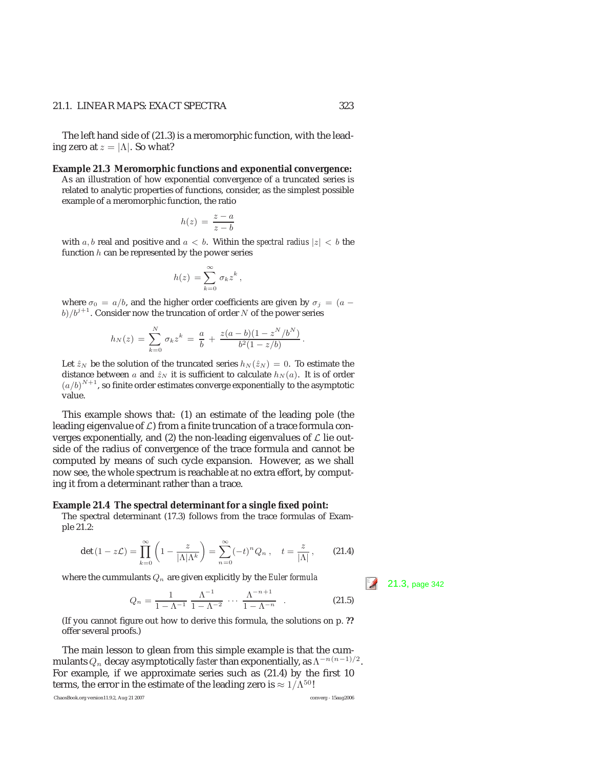### 21.1. LINEAR MAPS: EXACT SPECTRA 323

The left hand side of (21.3) is a meromorphic function, with the leading zero at  $z = |\Lambda|$ . So what?

**Example 21.3 Meromorphic functions and exponential convergence:**

As an illustration of how exponential convergence of a truncated series is related to analytic properties of functions, consider, as the simplest possible example of a meromorphic function, the ratio

$$
h(z) = \frac{z - a}{z - b}
$$

with a, b real and positive and  $a < b$ . Within the *spectral radius*  $|z| < b$  the function  $h$  can be represented by the power series

$$
h(z) = \sum_{k=0}^{\infty} \sigma_k z^k,
$$

where  $\sigma_0 = a/b$ , and the higher order coefficients are given by  $\sigma_j = (a - b)^2$  $b)/b^{j+1}$ . Consider now the truncation of order N of the power series

$$
h_N(z) = \sum_{k=0}^N \sigma_k z^k = \frac{a}{b} + \frac{z(a-b)(1-z^N/b^N)}{b^2(1-z/b)}.
$$

Let  $\hat{z}_N$  be the solution of the truncated series  $h_N(\hat{z}_N) = 0$ . To estimate the distance between a and  $\hat{z}_N$  it is sufficient to calculate  $h_N(a)$ . It is of order  $(a/b)^{N+1}$ , so finite order estimates converge exponentially to the asymptotic value value.

This example shows that: (1) an estimate of the leading pole (the leading eigenvalue of  $L$ ) from a finite truncation of a trace formula converges exponentially, and (2) the non-leading eigenvalues of  $\mathcal L$  lie outside of the radius of convergence of the trace formula and cannot be computed by means of such cycle expansion. However, as we shall now see, the whole spectrum is reachable at no extra effort, by computing it from a determinant rather than a trace.

### **Example 21.4 The spectral determinant for a single fixed point:**

The spectral determinant (17.3) follows from the trace formulas of Example 21.2:

$$
\det\left(1-z\mathcal{L}\right)=\prod_{k=0}^{\infty}\left(1-\frac{z}{|\Lambda|\Lambda^k}\right)=\sum_{n=0}^{\infty}\left(-t\right)^nQ_n\,,\quad t=\frac{z}{|\Lambda|}\,,\qquad(21.4)
$$

where the cummulants  $Q_n$  are given explicitly by the *Euler formula* 21.3, page 342

$$
Q_n = \frac{1}{1 - \Lambda^{-1}} \frac{\Lambda^{-1}}{1 - \Lambda^{-2}} \cdots \frac{\Lambda^{-n+1}}{1 - \Lambda^{-n}} \qquad (21.5)
$$

(If you cannot figure out how to derive this formula, the solutions on p. **??** offer several proofs.)

The main lesson to glean from this simple example is that the cummulants  $Q_n$  decay asymptotically *faster* than exponentially, as  $\Lambda^{-n(n-1)/2}$ . For example, if we approximate series such as (21.4) by the first 10 terms, the error in the estimate of the leading zero is  $\approx 1/\Lambda^{50}$ !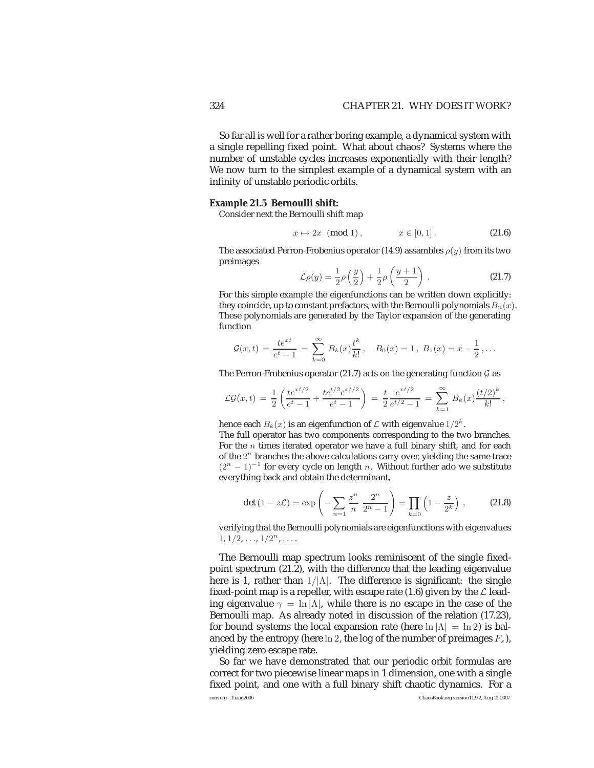So far all is well for a rather boring example, a dynamical system with a single repelling fixed point. What about chaos? Systems where the number of unstable cycles increases exponentially with their length? We now turn to the simplest example of a dynamical system with an infinity of unstable periodic orbits.

### **Example 21.5 Bernoulli shift:**

Consider next the Bernoulli shift map

$$
x \mapsto 2x \pmod{1}, \qquad x \in [0, 1].
$$
 (21.6)

The associated Perron-Frobenius operator (14.9) assambles  $\rho(y)$  from its two preimages

$$
\mathcal{L}\rho(y) = \frac{1}{2}\rho\left(\frac{y}{2}\right) + \frac{1}{2}\rho\left(\frac{y+1}{2}\right). \tag{21.7}
$$

For this simple example the eigenfunctions can be written down explicitly: they coincide, up to constant prefactors, with the Bernoulli polynomials  $B_n(x)$ . These polynomials are generated by the Taylor expansion of the generating function

$$
\mathcal{G}(x,t) = \frac{te^{xt}}{e^t - 1} = \sum_{k=0}^{\infty} B_k(x) \frac{t^k}{k!}, \quad B_0(x) = 1, B_1(x) = x - \frac{1}{2}, \dots
$$

The Perron-Frobenius operator (21.7) acts on the generating function  $G$  as

$$
\mathcal{LG}(x,t) = \frac{1}{2} \left( \frac{te^{xt/2}}{e^t - 1} + \frac{te^{t/2}e^{xt/2}}{e^t - 1} \right) = \frac{t}{2} \frac{e^{xt/2}}{e^{t/2} - 1} = \sum_{k=1}^{\infty} B_k(x) \frac{(t/2)^k}{k!},
$$

hence each  $B_k(x)$  is an eigenfunction of  $\mathcal L$  with eigenvalue  $1/2^k$ .

The full operator has two components corresponding to the two branches. For the  $n$  times iterated operator we have a full binary shift, and for each of the  $2<sup>n</sup>$  branches the above calculations carry over, yielding the same trace  $(2<sup>n</sup> - 1)<sup>-1</sup>$  for every cycle on length *n*. Without further ado we substitute everything back and obtain the determinant,

$$
\det (1 - z\mathcal{L}) = \exp \left( - \sum_{n=1}^{\infty} \frac{z^n}{n} \frac{2^n}{2^n - 1} \right) = \prod_{k=0}^{\infty} \left( 1 - \frac{z}{2^k} \right) ,\qquad (21.8)
$$

verifying that the Bernoulli polynomials are eigenfunctions with eigenvalues  $1, 1/2, \ldots, 1/2^n, \ldots$ 

The Bernoulli map spectrum looks reminiscent of the single fixedpoint spectrum (21.2), with the difference that the leading eigenvalue here is 1, rather than  $1/|\Lambda|$ . The difference is significant: the single fixed-point map is a repeller, with escape rate (1.6) given by the  $\mathcal L$  leading eigenvalue  $\gamma = \ln |\Lambda|$ , while there is no escape in the case of the Bernoulli map. As already noted in discussion of the relation (17.23), for bound systems the local expansion rate (here  $\ln |\Lambda| = \ln 2$ ) is balanced by the entropy (here  $\ln 2$ , the log of the number of preimages  $F_s$ ), yielding zero escape rate.

So far we have demonstrated that our periodic orbit formulas are correct for two piecewise linear maps in 1 dimension, one with a single fixed point, and one with a full binary shift chaotic dynamics. For a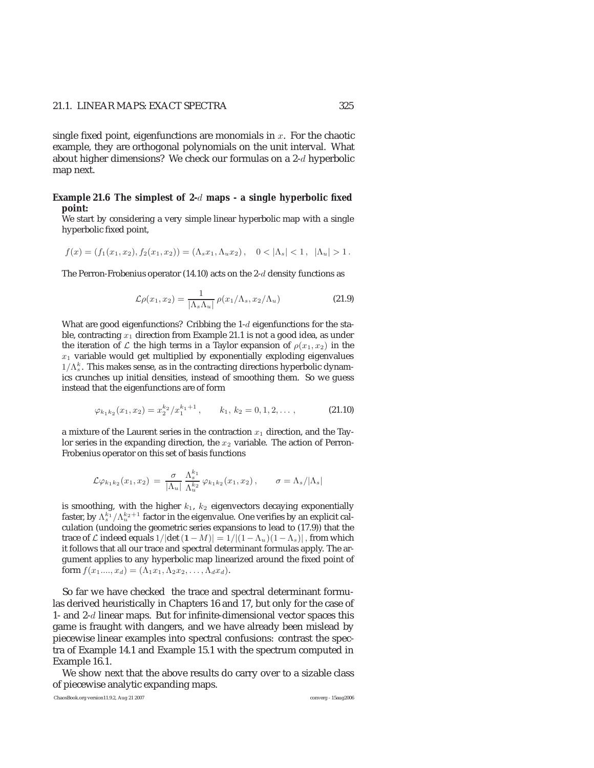# 21.1. LINEAR MAPS: EXACT SPECTRA 325

single fixed point, eigenfunctions are monomials in  $x$ . For the chaotic example, they are orthogonal polynomials on the unit interval. What about higher dimensions? We check our formulas on a 2-d hyperbolic map next.

## **Example 21.6 The simplest of 2-**d **maps - a single hyperbolic fixed point:**

We start by considering a very simple linear hyperbolic map with a single hyperbolic fixed point,

$$
f(x) = (f_1(x_1, x_2), f_2(x_1, x_2)) = (\Lambda_s x_1, \Lambda_u x_2), \quad 0 < |\Lambda_s| < 1, \ |\Lambda_u| > 1.
$$

The Perron-Frobenius operator (14.10) acts on the 2-d density functions as

$$
\mathcal{L}\rho(x_1, x_2) = \frac{1}{|\Lambda_s \Lambda_u|} \rho(x_1/\Lambda_s, x_2/\Lambda_u)
$$
\n(21.9)

What are good eigenfunctions? Cribbing the 1-d eigenfunctions for the stable, contracting  $x_1$  direction from Example 21.1 is not a good idea, as under the iteration of L the high terms in a Taylor expansion of  $\rho(x_1, x_2)$  in the  $x_1$  variable would get multiplied by exponentially exploding eigenvalues  $1/\Lambda_s^k$ . This makes sense, as in the contracting directions hyperbolic dynamics crupches up initial densities, instead of smoothing them. So we guess ics crunches up initial densities, instead of smoothing them. So we guess instead that the eigenfunctions are of form

$$
\varphi_{k_1k_2}(x_1, x_2) = x_2^{k_2} / x_1^{k_1+1}, \qquad k_1, k_2 = 0, 1, 2, \dots,
$$
\n(21.10)

a mixture of the Laurent series in the contraction  $x_1$  direction, and the Taylor series in the expanding direction, the  $x_2$  variable. The action of Perron-Frobenius operator on this set of basis functions

$$
\mathcal{L}\varphi_{k_1k_2}(x_1,x_2) = \frac{\sigma}{|\Lambda_u|} \frac{\Lambda_s^{k_1}}{\Lambda_u^{k_2}} \varphi_{k_1k_2}(x_1,x_2), \qquad \sigma = \Lambda_s/|\Lambda_s|
$$

is smoothing, with the higher  $k_1$ ,  $k_2$  eigenvectors decaying exponentially faster, by  $\Lambda_s^{k_1}/\Lambda_w^{k_2+1}$  factor in the eigenvalue. One verifies by an explicit cal-<br>culation (undoing the geometric series expansions to lead to (17.9)) that the culation (undoing the geometric series expansions to lead to (17.9)) that the trace of  $\mathcal L$  indeed equals  $1/|\det(1-M)| = 1/|(1-\Lambda_u)(1-\Lambda_s)|$ , from which it follows that all our trace and spectral determinant formulas apply. The argument applies to any hyperbolic map linearized around the fixed point of form  $f(x_1,...,x_d) = (\Lambda_1 x_1, \Lambda_2 x_2,..., \Lambda_d x_d).$ 

So far we have checked the trace and spectral determinant formulas derived heuristically in Chapters 16 and 17, but only for the case of 1- and 2-d linear maps. But for infinite-dimensional vector spaces this game is fraught with dangers, and we have already been mislead by piecewise linear examples into spectral confusions: contrast the spectra of Example 14.1 and Example 15.1 with the spectrum computed in Example 16.1.

We show next that the above results do carry over to a sizable class of piecewise analytic expanding maps.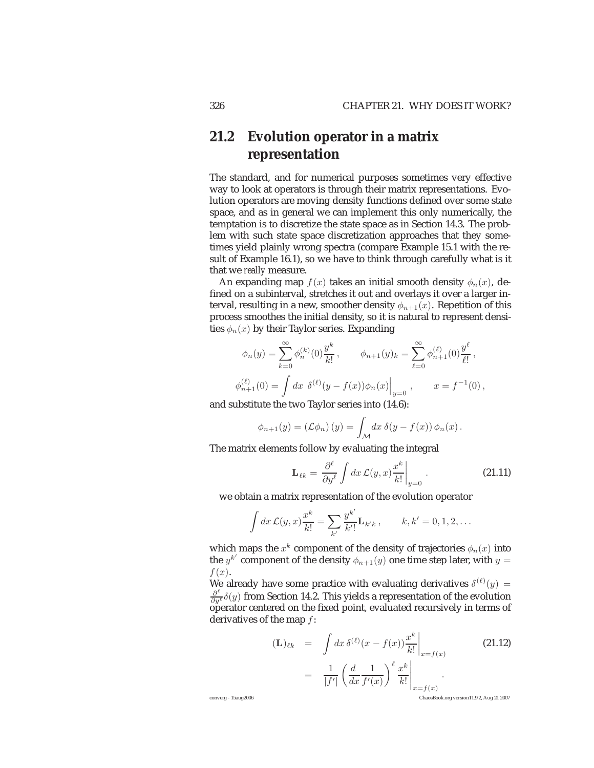# **21.2 Evolution operator in a matrix representation**

The standard, and for numerical purposes sometimes very effective way to look at operators is through their matrix representations. Evolution operators are moving density functions defined over some state space, and as in general we can implement this only numerically, the temptation is to discretize the state space as in Section 14.3. The problem with such state space discretization approaches that they sometimes yield plainly wrong spectra (compare Example 15.1 with the result of Example 16.1), so we have to think through carefully what is it that we *really* measure.

An expanding map  $f(x)$  takes an initial smooth density  $\phi_n(x)$ , defined on a subinterval, stretches it out and overlays it over a larger interval, resulting in a new, smoother density  $\phi_{n+1}(x)$ . Repetition of this process smoothes the initial density, so it is natural to represent densities  $\phi_n(x)$  by their Taylor series. Expanding

$$
\phi_n(y) = \sum_{k=0}^{\infty} \phi_n^{(k)}(0) \frac{y^k}{k!}, \qquad \phi_{n+1}(y)_k = \sum_{\ell=0}^{\infty} \phi_{n+1}^{(\ell)}(0) \frac{y^{\ell}}{\ell!},
$$
  

$$
\phi_{n+1}^{(\ell)}(0) = \int dx \ \delta^{(\ell)}(y - f(x)) \phi_n(x) \Big|_{y=0}, \qquad x = f^{-1}(0),
$$

and substitute the two Taylor series into (14.6):

$$
\phi_{n+1}(y) = (\mathcal{L}\phi_n)(y) = \int_{\mathcal{M}} dx \, \delta(y - f(x)) \, \phi_n(x).
$$

The matrix elements follow by evaluating the integral

$$
\mathbf{L}_{\ell k} = \frac{\partial^{\ell}}{\partial y^{\ell}} \int dx \, \mathcal{L}(y, x) \frac{x^{k}}{k!} \bigg|_{y=0} \,. \tag{21.11}
$$

we obtain a matrix representation of the evolution operator

$$
\int dx \, \mathcal{L}(y,x) \frac{x^k}{k!} = \sum_{k'} \frac{y^{k'}}{k'!} \mathbf{L}_{k'k} , \qquad k, k' = 0, 1, 2, \dots
$$

which maps the  $x^k$  component of the density of trajectories  $\phi_n(x)$  into the  $y^{k'}$  component of the density  $\phi_{n+1}(y)$  one time step later, with  $y=$  $f(x)$ .

We already have some practice with evaluating derivatives  $\delta^{(\ell)}(y) =$  $\frac{\partial^{\ell}}{\partial y^{\ell}}\delta(y)$  from Section 14.2. This yields a representation of the evolution operator centered on the fixed point, evaluated recursively in terms of derivatives of the map f:

$$
\begin{array}{rcl}\n(\mathbf{L})_{\ell k} & = & \int dx \, \delta^{(\ell)}(x - f(x)) \frac{x^k}{k!} \Big|_{x = f(x)} \\
& = & \frac{1}{|f'|} \left( \frac{d}{dx} \frac{1}{f'(x)} \right)^{\ell} \frac{x^k}{k!} \Big|_{x = f(x)}\n\end{array} \tag{21.12}
$$

converg - 15aug2006 ChaosBook.org version11.9.2, Aug 21 2007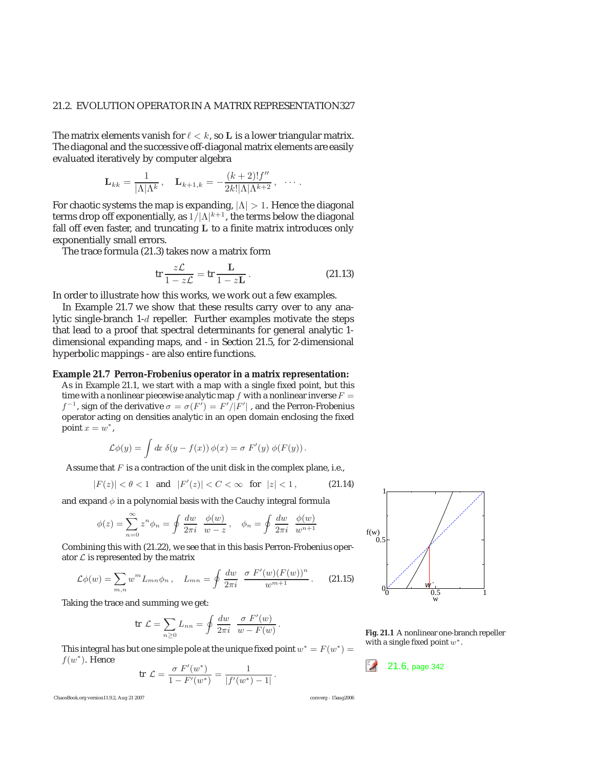The matrix elements vanish for  $\ell < k$ , so L is a lower triangular matrix. The diagonal and the successive off-diagonal matrix elements are easily evaluated iteratively by computer algebra

$$
\mathbf{L}_{kk} = \frac{1}{|\Lambda|\Lambda^k}, \quad \mathbf{L}_{k+1,k} = -\frac{(k+2)!f''}{2k!|\Lambda|\Lambda^{k+2}}, \quad \cdots.
$$

For chaotic systems the map is expanding,  $|\Lambda| > 1$ . Hence the diagonal terms drop off exponentially, as  $1/|\Lambda|^{k+1}$ , the terms below the diagonal fall off even faster, and truncating **L** to a finite matrix introduces only exponentially small errors.

The trace formula (21.3) takes now a matrix form

$$
\operatorname{tr}\frac{z\mathcal{L}}{1-z\mathcal{L}} = \operatorname{tr}\frac{\mathbf{L}}{1-z\mathbf{L}}.
$$
 (21.13)

In order to illustrate how this works, we work out a few examples.

In Example 21.7 we show that these results carry over to any analytic single-branch 1-d repeller. Further examples motivate the steps that lead to a proof that spectral determinants for general analytic 1 dimensional expanding maps, and - in Section 21.5, for 2-dimensional hyperbolic mappings - are also entire functions.

## **Example 21.7 Perron-Frobenius operator in a matrix representation:**

As in Example 21.1, we start with a map with a single fixed point, but this time with a nonlinear piecewise analytic map  $f$  with a nonlinear inverse  $F =$  $f^{-1}$ , sign of the derivative  $\sigma = \sigma(F') = F'/|F'|$ , and the Perron-Frobenius operator acting on densities analytic in an open domain enclosing the fixed operator acting on densities analytic in an open domain enclosing the fixed point  $x = w^*$ ,

$$
\mathcal{L}\phi(y) = \int dx \; \delta(y - f(x)) \, \phi(x) = \sigma \; F'(y) \; \phi(F(y)) \, .
$$

Assume that  $F$  is a contraction of the unit disk in the complex plane, i.e.,

$$
|F(z)| < \theta < 1 \quad \text{and} \quad |F'(z)| < C < \infty \quad \text{for} \quad |z| < 1 \,, \tag{21.14}
$$

and expand  $\phi$  in a polynomial basis with the Cauchy integral formula

$$
\phi(z) = \sum_{n=0}^{\infty} z^n \phi_n = \oint \frac{dw}{2\pi i} \frac{\phi(w)}{w - z}, \quad \phi_n = \oint \frac{dw}{2\pi i} \frac{\phi(w)}{w^{n+1}}
$$

Combining this with (21.22), we see that in this basis Perron-Frobenius operator  $\mathcal L$  is represented by the matrix

$$
\mathcal{L}\phi(w) = \sum_{m,n} w^m L_{mn} \phi_n \,, \quad L_{mn} = \oint \frac{dw}{2\pi i} \, \frac{\sigma \, F'(w) (F(w))^n}{w^{m+1}} \,. \tag{21.15}
$$

Taking the trace and summing we get:

$$
\text{tr }\mathcal{L} = \sum_{n\geq 0} L_{nn} = \oint \frac{dw}{2\pi i} \frac{\sigma F'(w)}{w - F(w)}.
$$

This integral has but one simple pole at the unique fixed point  $w^* = F(w^*) = f(w^*)$ . Hence  $f(w^*)$ . Hence  $\sigma F'(w^*)$  1 21.6, page 342

$$
\text{tr } \mathcal{L} = \frac{\sigma F'(w^*)}{1 - F'(w^*)} = \frac{1}{|f'(w^*) - 1|}
$$

ChaosBook.org version11.9.2, Aug 21 2007 converg - 15aug2006



**Fig. 21.1** A nonlinear one-branch repeller with a single fixed point  $w^*$ .

.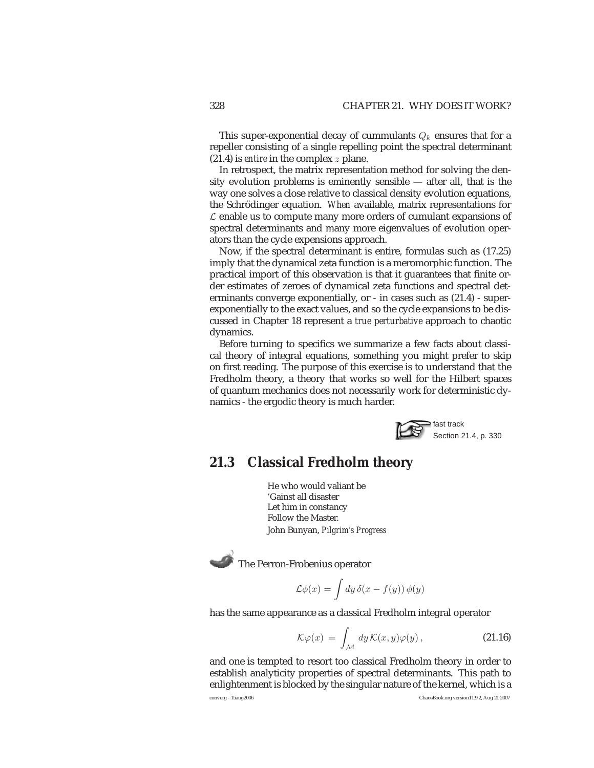This super-exponential decay of cummulants  $Q_k$  ensures that for a repeller consisting of a single repelling point the spectral determinant (21.4) is *entire* in the complex z plane.

In retrospect, the matrix representation method for solving the density evolution problems is eminently sensible — after all, that is the way one solves a close relative to classical density evolution equations, the Schrödinger equation. When available, matrix representations for  $\mathcal L$  enable us to compute many more orders of cumulant expansions of spectral determinants and many more eigenvalues of evolution operators than the cycle expensions approach.

Now, if the spectral determinant is entire, formulas such as (17.25) imply that the dynamical zeta function is a meromorphic function. The practical import of this observation is that it guarantees that finite order estimates of zeroes of dynamical zeta functions and spectral determinants converge exponentially, or - in cases such as (21.4) - superexponentially to the exact values, and so the cycle expansions to be discussed in Chapter 18 represent a *true perturbative* approach to chaotic dynamics.

Before turning to specifics we summarize a few facts about classical theory of integral equations, something you might prefer to skip on first reading. The purpose of this exercise is to understand that the Fredholm theory, a theory that works so well for the Hilbert spaces of quantum mechanics does not necessarily work for deterministic dynamics - the ergodic theory is much harder.



# **21.3 Classical Fredholm theory**

He who would valiant be 'Gainst all disaster Let him in constancy Follow the Master. John Bunyan, *Pilgrim's Progress*

The Perron-Frobenius operator

$$
\mathcal{L}\phi(x) = \int dy \,\delta(x - f(y)) \,\phi(y)
$$

has the same appearance as a classical Fredholm integral operator

$$
\mathcal{K}\varphi(x) = \int_{\mathcal{M}} dy \,\mathcal{K}(x, y)\varphi(y) \,, \tag{21.16}
$$

and one is tempted to resort too classical Fredholm theory in order to establish analyticity properties of spectral determinants. This path to enlightenment is blocked by the singular nature of the kernel, which is a

converg - 15aug2006 ChaosBook.org version11.9.2, Aug 21 2007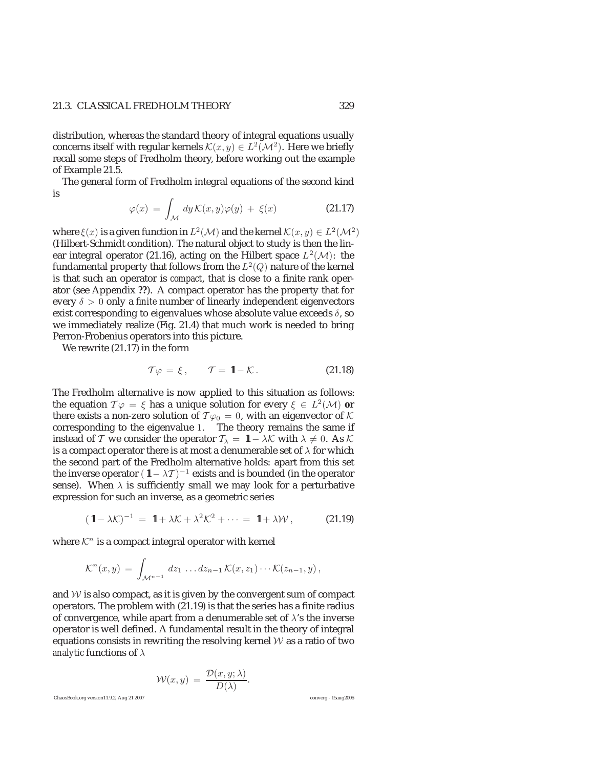# 21.3. CLASSICAL FREDHOLM THEORY 329

distribution, whereas the standard theory of integral equations usually concerns itself with regular kernels  $\mathcal{K}(x, y) \in L^2(\mathcal{M}^2)$ . Here we briefly recall some steps of Fredholm theory, before working out the example of Example 21.5.

The general form of Fredholm integral equations of the second kind is

$$
\varphi(x) = \int_{\mathcal{M}} dy \, \mathcal{K}(x, y)\varphi(y) + \xi(x) \tag{21.17}
$$

where  $\xi(x)$  is a given function in  $L^2(\mathcal{M})$  and the kernel  $\mathcal{K}(x, y) \in L^2(\mathcal{M}^2)$ (Hilbert-Schmidt condition). The natural object to study is then the linear integral operator (21.16), acting on the Hilbert space  $L^2(\mathcal{M})$ : the fundamental property that follows from the  $L^2(Q)$  nature of the kernel is that such an operator is *compact*, that is close to a finite rank operator (see Appendix **??**). A compact operator has the property that for every  $\delta > 0$  only a *finite* number of linearly independent eigenvectors exist corresponding to eigenvalues whose absolute value exceeds  $\delta$ , so we immediately realize (Fig. 21.4) that much work is needed to bring Perron-Frobenius operators into this picture.

We rewrite (21.17) in the form

$$
\mathcal{T}\varphi = \xi, \qquad \mathcal{T} = \mathbf{1} - \mathcal{K}. \tag{21.18}
$$

The Fredholm alternative is now applied to this situation as follows: the equation  $\mathcal{T}\varphi = \xi$  has a unique solution for every  $\xi \in L^2(\mathcal{M})$  or there exists a non-zero solution of  $T\varphi_0 = 0$ , with an eigenvector of K corresponding to the eigenvalue 1. The theory remains the same if instead of T we consider the operator  $T_{\lambda} = 1 - \lambda \mathcal{K}$  with  $\lambda \neq 0$ . As K is a compact operator there is at most a denumerable set of  $\lambda$  for which the second part of the Fredholm alternative holds: apart from this set the inverse operator  $(1 - \lambda \mathcal{T})^{-1}$  exists and is bounded (in the operator sense). When  $\lambda$  is sufficiently small we may look for a perturbative expression for such an inverse, as a geometric series

$$
(\mathbf{1} - \lambda \mathcal{K})^{-1} = \mathbf{1} + \lambda \mathcal{K} + \lambda^2 \mathcal{K}^2 + \cdots = \mathbf{1} + \lambda \mathcal{W}, \qquad (21.19)
$$

where  $\mathcal{K}^n$  is a compact integral operator with kernel

$$
\mathcal{K}^n(x,y) = \int_{\mathcal{M}^{n-1}} dz_1 \dots dz_{n-1} \mathcal{K}(x,z_1) \cdots \mathcal{K}(z_{n-1},y),
$$

and  $W$  is also compact, as it is given by the convergent sum of compact operators. The problem with (21.19) is that the series has a finite radius of convergence, while apart from a denumerable set of  $\lambda$ 's the inverse operator is well defined. A fundamental result in the theory of integral equations consists in rewriting the resolving kernel  $W$  as a ratio of two *analytic* functions of λ

$$
\mathcal{W}(x, y) = \frac{\mathcal{D}(x, y; \lambda)}{D(\lambda)}.
$$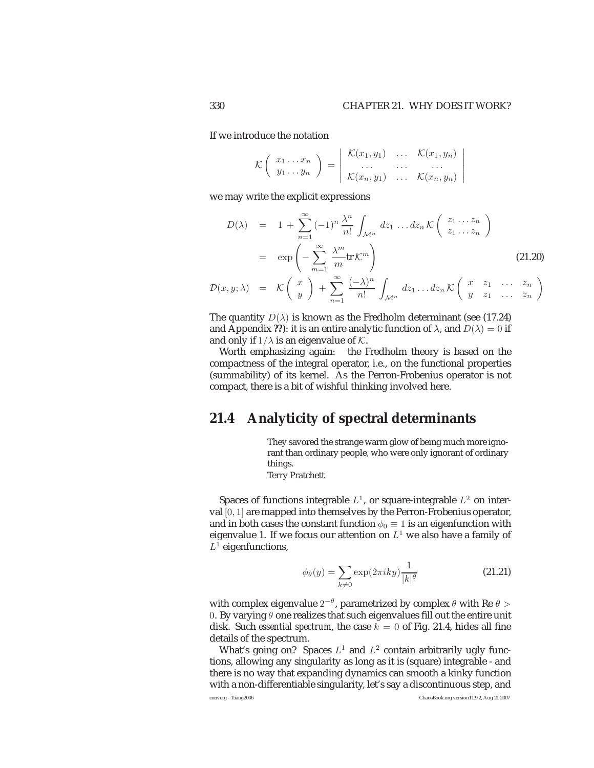If we introduce the notation

$$
\mathcal{K}\left(\begin{array}{c}x_1 \dots x_n \\ y_1 \dots y_n\end{array}\right) = \left|\begin{array}{ccc} \mathcal{K}(x_1, y_1) & \dots & \mathcal{K}(x_1, y_n) \\ \dots & \dots & \dots \\ \mathcal{K}(x_n, y_1) & \dots & \mathcal{K}(x_n, y_n)\end{array}\right|
$$

we may write the explicit expressions

$$
D(\lambda) = 1 + \sum_{n=1}^{\infty} (-1)^n \frac{\lambda^n}{n!} \int_{\mathcal{M}^n} dz_1 \dots dz_n \mathcal{K} \begin{pmatrix} z_1 \dots z_n \\ z_1 \dots z_n \end{pmatrix}
$$
  
=  $\exp\left(-\sum_{m=1}^{\infty} \frac{\lambda^m}{m} \mathbf{tr} \mathcal{K}^m\right)$  (21.20)

$$
\mathcal{D}(x,y;\lambda) = \mathcal{K}\left(\begin{array}{c}x\\y\end{array}\right) + \sum_{n=1}^{\infty} \frac{(-\lambda)^n}{n!} \int_{\mathcal{M}^n} dz_1 \dots dz_n \mathcal{K}\left(\begin{array}{cc}x & z_1 & \dots & z_n\\y & z_1 & \dots & z_n\end{array}\right)
$$

The quantity  $D(\lambda)$  is known as the Fredholm determinant (see (17.24) and Appendix **??**): it is an entire analytic function of  $\lambda$ , and  $D(\lambda)=0$  if and only if  $1/\lambda$  is an eigenvalue of  $K$ .

Worth emphasizing again: the Fredholm theory is based on the compactness of the integral operator, i.e., on the functional properties (summability) of its kernel. As the Perron-Frobenius operator is not compact, there is a bit of wishful thinking involved here.

# **21.4 Analyticity of spectral determinants**

They savored the strange warm glow of being much more ignorant than ordinary people, who were only ignorant of ordinary things.

Terry Pratchett

Spaces of functions integrable  $L^1$ , or square-integrable  $L^2$  on interval [0, 1] are mapped into themselves by the Perron-Frobenius operator, and in both cases the constant function  $\phi_0 \equiv 1$  is an eigenfunction with eigenvalue 1. If we focus our attention on  $L^1$  we also have a family of  $L^1$  eigenfunctions,

$$
\phi_{\theta}(y) = \sum_{k \neq 0} \exp(2\pi iky) \frac{1}{|k|^{\theta}}
$$
\n(21.21)

with complex eigenvalue  $2^{-\theta}$ , parametrized by complex  $\theta$  with Re  $\theta$  > 0. By varying  $\theta$  one realizes that such eigenvalues fill out the entire unit disk. Such *essential spectrum*, the case  $k = 0$  of Fig. 21.4, hides all fine details of the spectrum.

What's going on? Spaces  $L^1$  and  $L^2$  contain arbitrarily ugly functions, allowing any singularity as long as it is (square) integrable - and there is no way that expanding dynamics can smooth a kinky function with a non-differentiable singularity, let's say a discontinuous step, and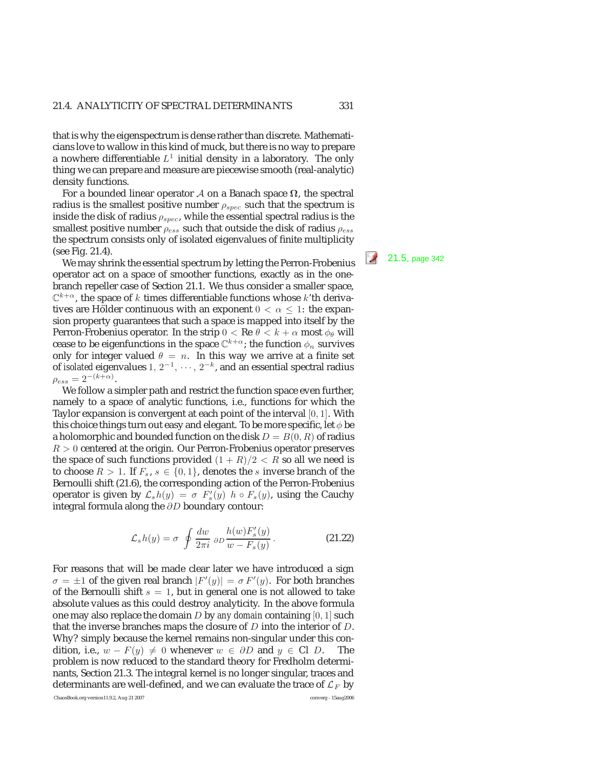that is why the eigenspectrum is dense rather than discrete. Mathematicians love to wallow in this kind of muck, but there is no way to prepare a nowhere differentiable  $L^1$  initial density in a laboratory. The only thing we can prepare and measure are piecewise smooth (real-analytic) density functions.

For a bounded linear operator <sup>A</sup> on a Banach space **Ω**, the spectral radius is the smallest positive number  $\rho_{spec}$  such that the spectrum is inside the disk of radius  $\rho_{spec}$ , while the essential spectral radius is the smallest positive number  $\rho_{ess}$  such that outside the disk of radius  $\rho_{ess}$ the spectrum consists only of isolated eigenvalues of finite multiplicity (see Fig. 21.4).

We may shrink the essential spectrum by letting the Perron-Frobenius  $\frac{21.5}{21.5}$ , page 342 operator act on a space of smoother functions, exactly as in the onebranch repeller case of Section 21.1. We thus consider a smaller space,  $\mathbb{C}^{k+\alpha}$ , the space of k times differentiable functions whose k'th derivatives are Hölder continuous with an exponent  $0 < \alpha \leq 1$ : the expansion property guarantees that such a space is mapped into itself by the Perron-Frobenius operator. In the strip  $0 < \text{Re } \theta < k + \alpha$  most  $\phi_{\theta}$  will cease to be eigenfunctions in the space  $\mathbb{C}^{k+\alpha}$ ; the function  $\phi_n$  survives only for integer valued  $\theta = n$ . In this way we arrive at a finite set of *isolated* eigenvalues 1, 2<sup>-1</sup>, ···, 2<sup>-k</sup>, and an essential spectral radius  $\rho_{ess} = 2^{-(k+\alpha)}$ .

We follow a simpler path and restrict the function space even further, namely to a space of analytic functions, i.e., functions for which the Taylor expansion is convergent at each point of the interval [0, 1]. With this choice things turn out easy and elegant. To be more specific, let  $\phi$  be a holomorphic and bounded function on the disk  $D = B(0, R)$  of radius  $R > 0$  centered at the origin. Our Perron-Frobenius operator preserves the space of such functions provided  $(1 + R)/2 < R$  so all we need is to choose  $R > 1$ . If  $F_s$ ,  $s \in \{0,1\}$ , denotes the s inverse branch of the Bernoulli shift (21.6), the corresponding action of the Perron-Frobenius operator is given by  $\mathcal{L}_s h(y) = \sigma F'_s(y)$   $h \circ F_s(y)$ , using the Cauchy integral formula along the ∂D boundary contour:

$$
\mathcal{L}_s h(y) = \sigma \oint \frac{dw}{2\pi i} \, \partial D \frac{h(w) F_s'(y)}{w - F_s(y)} \,. \tag{21.22}
$$

For reasons that will be made clear later we have introduced a sign  $\sigma = \pm 1$  of the given real branch  $|F'(y)| = \sigma F'(y)$ . For both branches of the Bernoulli shift  $s = 1$ , but in general one is not allowed to take absolute values as this could destroy analyticity. In the above formula one may also replace the domain D by *any domain* containing [0, 1] such that the inverse branches maps the closure of  $D$  into the interior of  $D$ . Why? simply because the kernel remains non-singular under this condition, i.e.,  $w - F(y) \neq 0$  whenever  $w \in \partial D$  and  $y \in Cl$  D. The problem is now reduced to the standard theory for Fredholm determinants, Section 21.3. The integral kernel is no longer singular, traces and determinants are well-defined, and we can evaluate the trace of  $\mathcal{L}_F$  by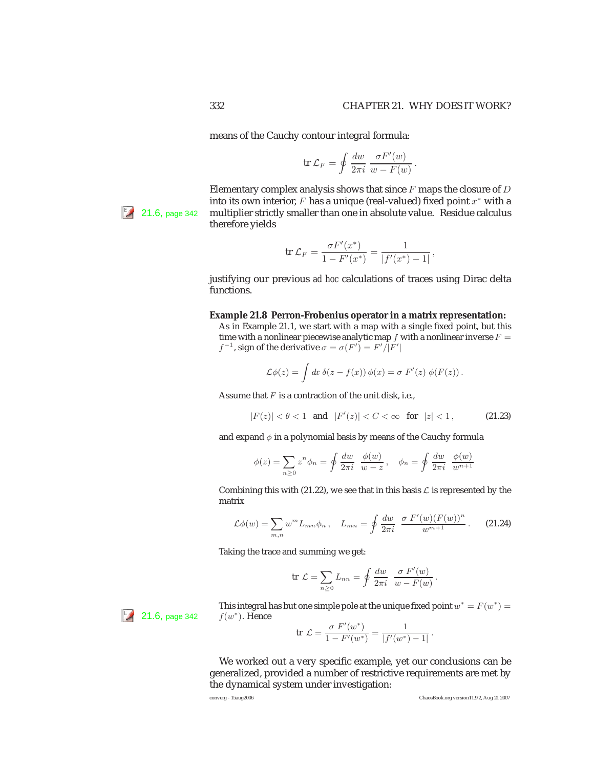means of the Cauchy contour integral formula:

$$
\operatorname{tr} \mathcal{L}_F = \oint \frac{dw}{2\pi i} \; \frac{\sigma F'(w)}{w - F(w)} \, .
$$

Elementary complex analysis shows that since  $F$  maps the closure of  $D$ into its own interior,  $F$  has a unique (real-valued) fixed point  $x^*$  with a <sup>[5</sup> $\ell$  21.6, page 342 multiplier strictly smaller than one in absolute value. Residue calculus therefore yields

$$
\text{tr }\mathcal{L}_F = \frac{\sigma F'(x^*)}{1 - F'(x^*)} = \frac{1}{|f'(x^*) - 1|},
$$

justifying our previous *ad hoc* calculations of traces using Dirac delta functions.

**Example 21.8 Perron-Frobenius operator in a matrix representation:**

As in Example 21.1, we start with a map with a single fixed point, but this time with a nonlinear piecewise analytic map  $f$  with a nonlinear inverse  $F =$  $f^{-1}$ , sign of the derivative  $\sigma = \sigma(F') = F'/|F'|$ 

$$
\mathcal{L}\phi(z) = \int dx \; \delta(z - f(x)) \, \phi(x) = \sigma \; F'(z) \; \phi(F(z)) \, .
$$

Assume that  $F$  is a contraction of the unit disk, i.e.,

$$
|F(z)| < \theta < 1 \quad \text{and} \quad |F'(z)| < C < \infty \quad \text{for} \quad |z| < 1 \,, \tag{21.23}
$$

and expand  $\phi$  in a polynomial basis by means of the Cauchy formula

$$
\phi(z) = \sum_{n\geq 0} z^n \phi_n = \oint \frac{dw}{2\pi i} \frac{\phi(w)}{w - z}, \quad \phi_n = \oint \frac{dw}{2\pi i} \frac{\phi(w)}{w^{n+1}}
$$

Combining this with (21.22), we see that in this basis  $\mathcal L$  is represented by the matrix

$$
\mathcal{L}\phi(w) = \sum_{m,n} w^m L_{mn} \phi_n \,, \quad L_{mn} = \oint \frac{dw}{2\pi i} \, \frac{\sigma \, F'(w) (F(w))^n}{w^{m+1}} \,. \tag{21.24}
$$

Taking the trace and summing we get:

$$
\text{tr }\mathcal{L} = \sum_{n\geq 0} L_{nn} = \oint \frac{dw}{2\pi i} \frac{\sigma F'(w)}{w - F(w)}.
$$

This integral has but one simple pole at the unique fixed point  $w^* = F(w^*) = f(w^*)$  . Hence

$$
\text{tr }\mathcal{L} = \frac{\sigma F'(w^*)}{1 - F'(w^*)} = \frac{1}{|f'(w^*) - 1|} \, .
$$

We worked out a very specific example, yet our conclusions can be generalized, provided a number of restrictive requirements are met by the dynamical system under investigation:

 $\frac{12}{1}$  21.6, page 342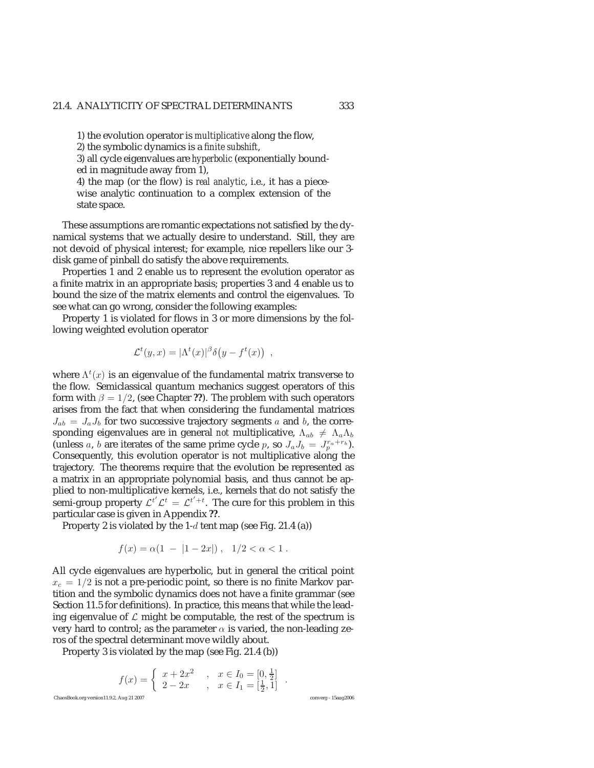1) the evolution operator is *multiplicative* along the flow,

2) the symbolic dynamics is a *finite subshift*,

3) all cycle eigenvalues are *hyperbolic* (exponentially bounded in magnitude away from 1),

4) the map (or the flow) is *real analytic*, i.e., it has a piecewise analytic continuation to a complex extension of the state space.

These assumptions are romantic expectations not satisfied by the dynamical systems that we actually desire to understand. Still, they are not devoid of physical interest; for example, nice repellers like our 3 disk game of pinball do satisfy the above requirements.

Properties 1 and 2 enable us to represent the evolution operator as a finite matrix in an appropriate basis; properties 3 and 4 enable us to bound the size of the matrix elements and control the eigenvalues. To see what can go wrong, consider the following examples:

Property 1 is violated for flows in 3 or more dimensions by the following weighted evolution operator

$$
\mathcal{L}^t(y,x) = |\Lambda^t(x)|^{\beta} \delta(y - f^t(x)) ,
$$

where  $\Lambda^t(x)$  is an eigenvalue of the fundamental matrix transverse to the flow. Semiclassical quantum mechanics suggest operators of this form with  $\beta = 1/2$ , (see Chapter ??). The problem with such operators arises from the fact that when considering the fundamental matrices  $J_{ab} = J_a J_b$  for two successive trajectory segments a and b, the corresponding eigenvalues are in general *not* multiplicative,  $\Lambda_{ab} \neq \Lambda_a \Lambda_b$ (unless a, b are iterates of the same prime cycle p, so  $J_a J_b = J_n^{r_a + r_b}$ ). Consequently, this evolution operator is not multiplicative along the trajectory. The theorems require that the evolution be represented as a matrix in an appropriate polynomial basis, and thus cannot be applied to non-multiplicative kernels, i.e., kernels that do not satisfy the semi-group property  $\mathcal{L}^{t'}\mathcal{L}^{t} = \mathcal{L}^{t'+t}$ . The cure for this problem in this particular case is given in Appendix **??**.

Property 2 is violated by the  $1-d$  tent map (see Fig. 21.4 (a))

$$
f(x) = \alpha(1 - |1 - 2x|), \quad 1/2 < \alpha < 1.
$$

All cycle eigenvalues are hyperbolic, but in general the critical point  $x_c = 1/2$  is not a pre-periodic point, so there is no finite Markov partition and the symbolic dynamics does not have a finite grammar (see Section 11.5 for definitions). In practice, this means that while the leading eigenvalue of  $\mathcal L$  might be computable, the rest of the spectrum is very hard to control; as the parameter  $\alpha$  is varied, the non-leading zeros of the spectral determinant move wildly about.

Property 3 is violated by the map (see Fig. 21.4 (b))

$$
f(x)=\left\{\begin{array}{ll} x+2x^2 \quad ,\quad x\in I_0=[0,\frac{1}{2}] \\[0.2cm] 2-2x \quad ,\quad x\in I_1=[\frac{1}{2},1] \end{array}\right. .
$$
ChaosBook.org version11.9.2, Aug 21 2007  
converg - 15aug2006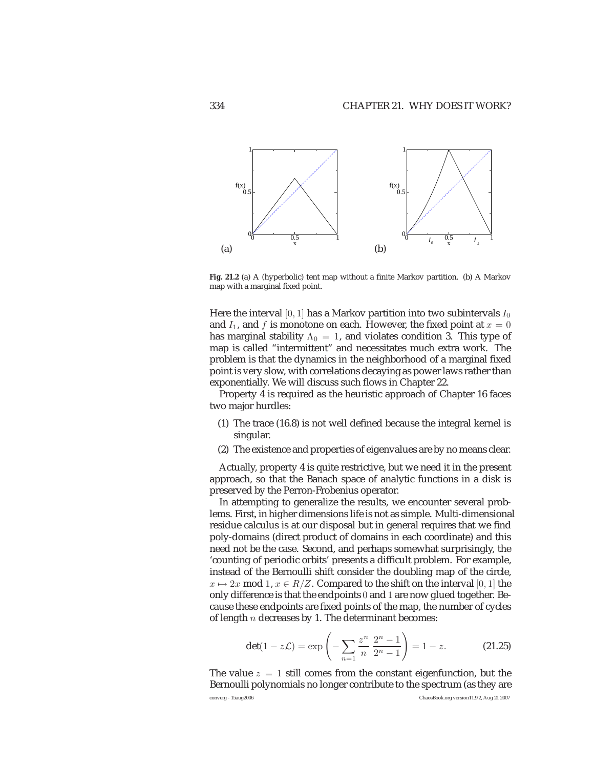

**Fig. 21.2** (a) A (hyperbolic) tent map without a finite Markov partition. (b) A Markov map with a marginal fixed point.

Here the interval [0, 1] has a Markov partition into two subintervals  $I_0$ and  $I_1$ , and f is monotone on each. However, the fixed point at  $x = 0$ has marginal stability  $\Lambda_0 = 1$ , and violates condition 3. This type of map is called "intermittent" and necessitates much extra work. The problem is that the dynamics in the neighborhood of a marginal fixed point is very slow, with correlations decaying as power laws rather than exponentially. We will discuss such flows in Chapter 22.

Property 4 is required as the heuristic approach of Chapter 16 faces two major hurdles:

- (1) The trace (16.8) is not well defined because the integral kernel is singular.
- (2) The existence and properties of eigenvalues are by no means clear.

Actually, property 4 is quite restrictive, but we need it in the present approach, so that the Banach space of analytic functions in a disk is preserved by the Perron-Frobenius operator.

In attempting to generalize the results, we encounter several problems. First, in higher dimensions life is not as simple. Multi-dimensional residue calculus is at our disposal but in general requires that we find poly-domains (direct product of domains in each coordinate) and this need not be the case. Second, and perhaps somewhat surprisingly, the 'counting of periodic orbits' presents a difficult problem. For example, instead of the Bernoulli shift consider the doubling map of the circle,  $x \mapsto 2x \mod 1, x \in R/Z$ . Compared to the shift on the interval [0, 1] the only difference is that the endpoints 0 and 1 are now glued together. Because these endpoints are fixed points of the map, the number of cycles of length  $n$  decreases by 1. The determinant becomes:

$$
\det(1 - z\mathcal{L}) = \exp\left(-\sum_{n=1}^{\infty} \frac{z^n}{n} \frac{2^n - 1}{2^n - 1}\right) = 1 - z.
$$
 (21.25)

The value  $z = 1$  still comes from the constant eigenfunction, but the Bernoulli polynomials no longer contribute to the spectrum (as they are converg - 15aug2006 ChaosBook.org version11.9.2, Aug 21 2007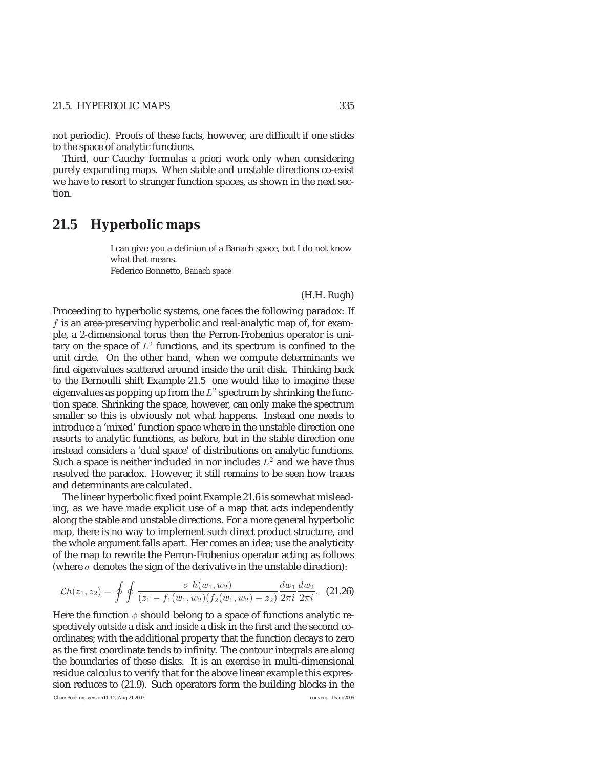not periodic). Proofs of these facts, however, are difficult if one sticks to the space of analytic functions.

Third, our Cauchy formulas *a priori* work only when considering purely expanding maps. When stable and unstable directions co-exist we have to resort to stranger function spaces, as shown in the next section.

# **21.5 Hyperbolic maps**

I can give you a definion of a Banach space, but I do not know what that means. Federico Bonnetto, *Banach space*

### (H.H. Rugh)

Proceeding to hyperbolic systems, one faces the following paradox: If  $f$  is an area-preserving hyperbolic and real-analytic map of, for example, a 2-dimensional torus then the Perron-Frobenius operator is unitary on the space of  $L^2$  functions, and its spectrum is confined to the unit circle. On the other hand, when we compute determinants we find eigenvalues scattered around inside the unit disk. Thinking back to the Bernoulli shift Example 21.5 one would like to imagine these eigenvalues as popping up from the  $L^2$  spectrum by shrinking the function space. Shrinking the space, however, can only make the spectrum smaller so this is obviously not what happens. Instead one needs to introduce a 'mixed' function space where in the unstable direction one resorts to analytic functions, as before, but in the stable direction one instead considers a 'dual space' of distributions on analytic functions. Such a space is neither included in nor includes  $L^2$  and we have thus resolved the paradox. However, it still remains to be seen how traces and determinants are calculated.

The linear hyperbolic fixed point Example 21.6 is somewhat misleading, as we have made explicit use of a map that acts independently along the stable and unstable directions. For a more general hyperbolic map, there is no way to implement such direct product structure, and the whole argument falls apart. Her comes an idea; use the analyticity of the map to rewrite the Perron-Frobenius operator acting as follows (where  $\sigma$  denotes the sign of the derivative in the unstable direction):

$$
\mathcal{L}h(z_1, z_2) = \oint \oint \frac{\sigma \ h(w_1, w_2)}{(z_1 - f_1(w_1, w_2)(f_2(w_1, w_2) - z_2)} \frac{dw_1}{2\pi i} \frac{dw_2}{2\pi i}.
$$
 (21.26)

Here the function  $\phi$  should belong to a space of functions analytic respectively *outside* a disk and *inside* a disk in the first and the second coordinates; with the additional property that the function decays to zero as the first coordinate tends to infinity. The contour integrals are along the boundaries of these disks. It is an exercise in multi-dimensional residue calculus to verify that for the above linear example this expression reduces to (21.9). Such operators form the building blocks in the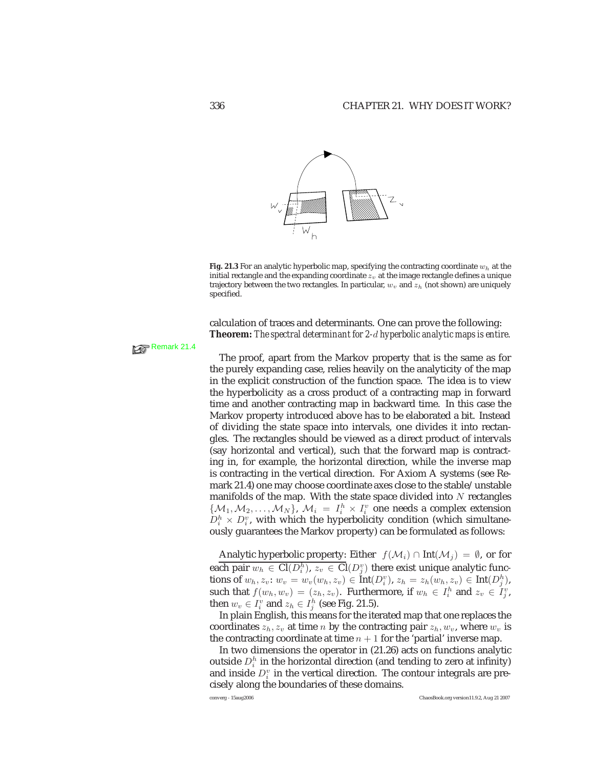

**Fig. 21.3** For an analytic hyperbolic map, specifying the contracting coordinate  $w_h$  at the initial rectangle and the expanding coordinate  $z_v$  at the image rectangle defines a unique trajectory between the two rectangles. In particular,  $w_v$  and  $z_h$  (not shown) are uniquely specified.

calculation of traces and determinants. One can prove the following: **Theorem:** *The spectral determinant for 2-*d *hyperbolic analytic maps is entire.*

# Remark 21.4

The proof, apart from the Markov property that is the same as for the purely expanding case, relies heavily on the analyticity of the map in the explicit construction of the function space. The idea is to view the hyperbolicity as a cross product of a contracting map in forward time and another contracting map in backward time. In this case the Markov property introduced above has to be elaborated a bit. Instead of dividing the state space into intervals, one divides it into rectangles. The rectangles should be viewed as a direct product of intervals (say horizontal and vertical), such that the forward map is contracting in, for example, the horizontal direction, while the inverse map is contracting in the vertical direction. For Axiom A systems (see Remark 21.4) one may choose coordinate axes close to the stable/unstable manifolds of the map. With the state space divided into  $N$  rectangles  $\{\mathcal{M}_1, \mathcal{M}_2, \ldots, \mathcal{M}_N\}, \mathcal{M}_i = I_i^h \times I_i^v$  one needs a complex extension  $D_i^h \times D_i^v$ , with which the hyperbolicity condition (which simultaneously guarantees the Markov property) can be formulated as follows:

Analytic hyperbolic property: Either  $f(\mathcal{M}_i) \cap \text{Int}(\mathcal{M}_i) = \emptyset$ , or for each pair  $w_h\, \in\, \mathrm{Cl}(D_i^h),\, z_v\, \in\, \mathrm{Cl}(D_j^v)$  there exist unique analytic functions of  $w_h, z_v: w_v = w_v(w_h, z_v) \in \text{Int}(D_i^v), z_h = z_h(w_h, z_v) \in \text{Int}(D_j^h),$ such that  $f(w_h, w_v) = (z_h, z_v)$ . Furthermore, if  $w_h \in I_i^h$  and  $z_v \in I_j^v$ , then  $w_v \in I_i^v$  and  $z_h \in I_j^h$  (see Fig. 21.5).

In plain English, this means for the iterated map that one replaces the coordinates  $z_h, z_v$  at time n by the contracting pair  $z_h, w_v$ , where  $w_v$  is the contracting coordinate at time  $n + 1$  for the 'partial' inverse map.

In two dimensions the operator in (21.26) acts on functions analytic outside  $D_i^h$  in the horizontal direction (and tending to zero at infinity) and inside  $D_i^v$  in the vertical direction. The contour integrals are precisely along the boundaries of these domains.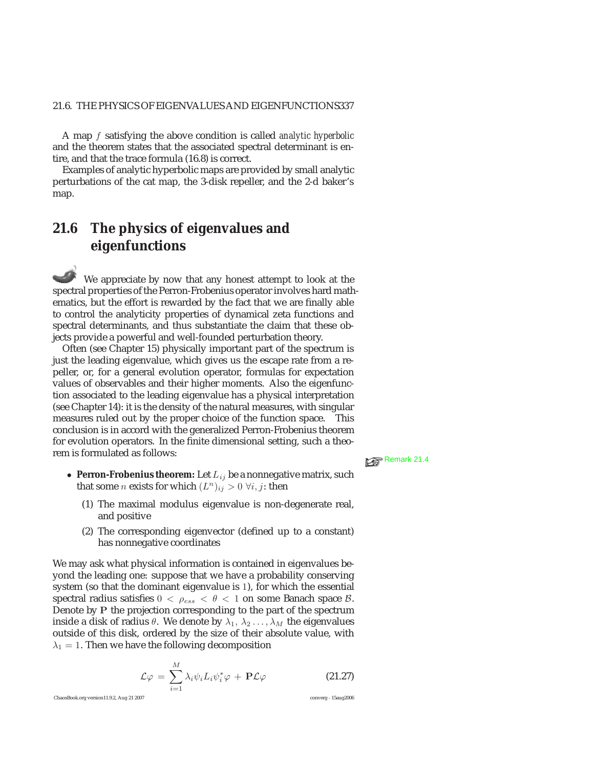A map f satisfying the above condition is called *analytic hyperbolic* and the theorem states that the associated spectral determinant is entire, and that the trace formula (16.8) is correct.

Examples of analytic hyperbolic maps are provided by small analytic perturbations of the cat map, the 3-disk repeller, and the 2-d baker's map.

# **21.6 The physics of eigenvalues and eigenfunctions**

We appreciate by now that any honest attempt to look at the spectral properties of the Perron-Frobenius operator involves hard mathematics, but the effort is rewarded by the fact that we are finally able to control the analyticity properties of dynamical zeta functions and spectral determinants, and thus substantiate the claim that these objects provide a powerful and well-founded perturbation theory.

Often (see Chapter 15) physically important part of the spectrum is just the leading eigenvalue, which gives us the escape rate from a repeller, or, for a general evolution operator, formulas for expectation values of observables and their higher moments. Also the eigenfunction associated to the leading eigenvalue has a physical interpretation (see Chapter 14): it is the density of the natural measures, with singular measures ruled out by the proper choice of the function space. This conclusion is in accord with the generalized Perron-Frobenius theorem for evolution operators. In the finite dimensional setting, such a theorem is formulated as follows:  $R \geq R$  Remark 21.4

- 
- **Perron-Frobenius theorem:** Let  $L_{ij}$  be a nonnegative matrix, such that some *n* exists for which  $(L^n)_{ij} > 0 \ \forall i, j$ : then
	- (1) The maximal modulus eigenvalue is non-degenerate real, and positive
	- (2) The corresponding eigenvector (defined up to a constant) has nonnegative coordinates

We may ask what physical information is contained in eigenvalues beyond the leading one: suppose that we have a probability conserving system (so that the dominant eigenvalue is 1), for which the essential spectral radius satisfies  $0 < \rho_{ess} < \theta < 1$  on some Banach space  $\beta$ . Denote by **P** the projection corresponding to the part of the spectrum inside a disk of radius  $\theta$ . We denote by  $\lambda_1, \lambda_2 \ldots, \lambda_M$  the eigenvalues outside of this disk, ordered by the size of their absolute value, with  $\lambda_1 = 1$ . Then we have the following decomposition

$$
\mathcal{L}\varphi = \sum_{i=1}^{M} \lambda_i \psi_i L_i \psi_i^* \varphi + \mathbf{P} \mathcal{L}\varphi \qquad (21.27)
$$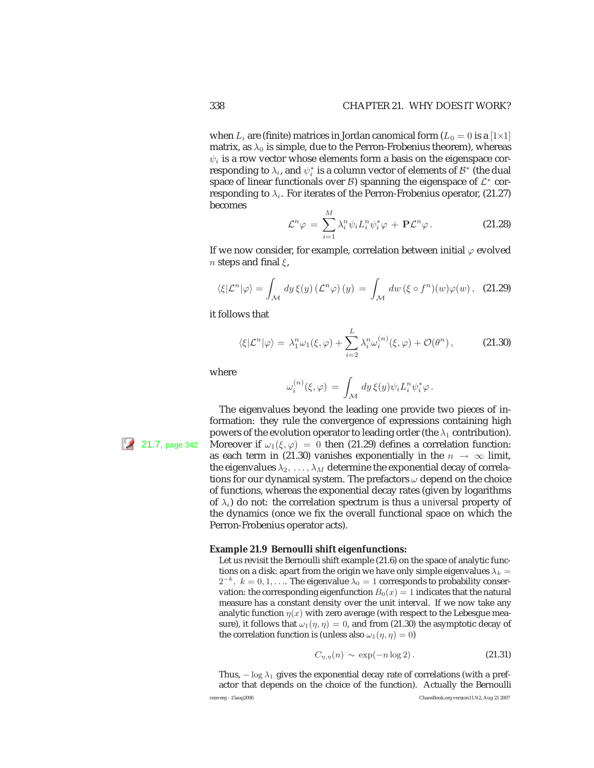when  $L_i$  are (finite) matrices in Jordan canomical form ( $L_0 = 0$  is a [1×1] matrix, as  $\lambda_0$  is simple, due to the Perron-Frobenius theorem), whereas  $\psi_i$  is a row vector whose elements form a basis on the eigenspace corresponding to  $\lambda_i$ , and  $\psi_i^*$  is a column vector of elements of  $\mathcal{B}^*$  (the dual space of linear functionals over  $\beta$ ) spanning the eigenspace of  $\mathcal{L}^*$  corresponding to  $\lambda_i$ . For iterates of the Perron-Frobenius operator, (21.27) becomes

$$
\mathcal{L}^n \varphi \,=\, \sum_{i=1}^M \lambda_i^n \psi_i L_i^n \psi_i^* \varphi \,+\,\mathbf{P} \mathcal{L}^n \varphi \,. \tag{21.28}
$$

If we now consider, for example, correlation between initial  $\varphi$  evolved *n* steps and final  $\xi$ ,

$$
\langle \xi | \mathcal{L}^n | \varphi \rangle = \int_{\mathcal{M}} dy \, \xi(y) \left( \mathcal{L}^n \varphi \right)(y) = \int_{\mathcal{M}} dw \left( \xi \circ f^n \right)(w) \varphi(w), \quad \text{(21.29)}
$$

it follows that

$$
\langle \xi | \mathcal{L}^n | \varphi \rangle = \lambda_1^n \omega_1(\xi, \varphi) + \sum_{i=2}^L \lambda_i^n \omega_i^{(n)}(\xi, \varphi) + \mathcal{O}(\theta^n) , \qquad (21.30)
$$

where

$$
\omega_i^{(n)}(\xi,\varphi) \,=\, \int_{\mathcal M} \, dy\, \xi(y) \psi_i L_i^n \psi_i^* \varphi\,.
$$

The eigenvalues beyond the leading one provide two pieces of information: they rule the convergence of expressions containing high powers of the evolution operator to leading order (the  $\lambda_1$  contribution). 21.7, page 342 Moreover if  $\omega_1(\xi,\varphi)=0$  then (21.29) defines a correlation function: as each term in (21.30) vanishes exponentially in the  $n \to \infty$  limit, the eigenvalues  $\lambda_2, \ldots, \lambda_M$  determine the exponential decay of correlations for our dynamical system. The prefactors  $\omega$  depend on the choice of functions, whereas the exponential decay rates (given by logarithms of  $\lambda_i$ ) do not: the correlation spectrum is thus a *universal* property of the dynamics (once we fix the overall functional space on which the Perron-Frobenius operator acts).

### **Example 21.9 Bernoulli shift eigenfunctions:**

Let us revisit the Bernoulli shift example (21.6) on the space of analytic functions on a disk: apart from the origin we have only simple eigenvalues  $\lambda_k =$  $2^{-k}$ ,  $k = 0, 1, \ldots$  The eigenvalue  $\lambda_0 = 1$  corresponds to probability conservation: the corresponding eigenfunction  $B_0(x)=1$  indicates that the natural measure has a constant density over the unit interval. If we now take any analytic function  $\eta(x)$  with zero average (with respect to the Lebesgue measure), it follows that  $\omega_1(\eta, \eta)=0$ , and from (21.30) the asymptotic decay of the correlation function is (unless also  $\omega_1(\eta, \eta)=0$ )

$$
C_{\eta,\eta}(n) \sim \exp(-n\log 2). \tag{21.31}
$$

Thus,  $-\log \lambda_1$  gives the exponential decay rate of correlations (with a prefactor that depends on the choice of the function). Actually the Bernoulli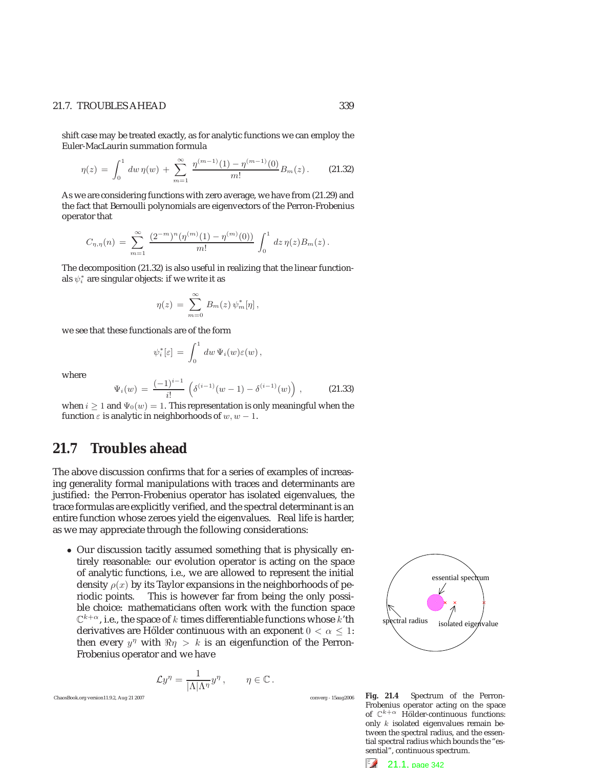### 21.7. TROUBLES AHEAD 339

shift case may be treated exactly, as for analytic functions we can employ the Euler-MacLaurin summation formula

$$
\eta(z) = \int_0^1 dw \, \eta(w) + \sum_{m=1}^\infty \frac{\eta^{(m-1)}(1) - \eta^{(m-1)}(0)}{m!} B_m(z) \,. \tag{21.32}
$$

As we are considering functions with zero average, we have from (21.29) and the fact that Bernoulli polynomials are eigenvectors of the Perron-Frobenius operator that

$$
C_{\eta,\eta}(n) = \sum_{m=1}^{\infty} \frac{(2^{-m})^n (\eta^{(m)}(1) - \eta^{(m)}(0))}{m!} \int_0^1 dz \, \eta(z) B_m(z) \, .
$$

The decomposition (21.32) is also useful in realizing that the linear functionals  $\psi_i^*$  are singular objects: if we write it as

$$
\eta(z) = \sum_{m=0}^{\infty} B_m(z) \psi_m^*[\eta],
$$

we see that these functionals are of the form

$$
\psi_i^*[\varepsilon] = \int_0^1 dw \, \Psi_i(w) \varepsilon(w) \,,
$$

where

$$
\Psi_i(w) = \frac{(-1)^{i-1}}{i!} \left( \delta^{(i-1)}(w-1) - \delta^{(i-1)}(w) \right), \tag{21.33}
$$

when  $i \geq 1$  and  $\Psi_0(w)=1$ . This representation is only meaningful when the function  $\varepsilon$  is analytic in neighborhoods of  $w, w = 1$ function  $\varepsilon$  is analytic in neighborhoods of  $w, w - 1$ .

# **21.7 Troubles ahead**

The above discussion confirms that for a series of examples of increasing generality formal manipulations with traces and determinants are justified: the Perron-Frobenius operator has isolated eigenvalues, the trace formulas are explicitly verified, and the spectral determinant is an entire function whose zeroes yield the eigenvalues. Real life is harder, as we may appreciate through the following considerations:

• Our discussion tacitly assumed something that is physically entirely reasonable: our evolution operator is acting on the space of analytic functions, i.e., we are allowed to represent the initial density  $\rho(x)$  by its Taylor expansions in the neighborhoods of periodic points. This is however far from being the only possible choice: mathematicians often work with the function space  $\mathbb{C}^{k+\alpha}$ , i.e., the space of k times differentiable functions whose k'th derivatives are Hölder continuous with an exponent  $0 < \alpha \leq 1$ : then every  $y^{\eta}$  with  $\Re \eta > k$  is an eigenfunction of the Perron-Frobenius operator and we have

$$
\mathcal{L}y^{\eta} = \frac{1}{|\Lambda|\Lambda^{\eta}}y^{\eta}, \qquad \eta \in \mathbb{C}.
$$

ChaosBook.org version11.9.2, Aug 21 2007 converg - 15aug2006

**Fig. 21.4** Spectrum of the Perron-Frobenius operator acting on the space of  $\mathbb{C}^{k+\alpha}$  Hölder-continuous functions: only k isolated eigenvalues remain between the spectral radius, and the essential spectral radius which bounds the "essential", continuous spectrum.



essential spectrum  $\text{cural radius}$  isolated eigenvalue

i! , (21.33)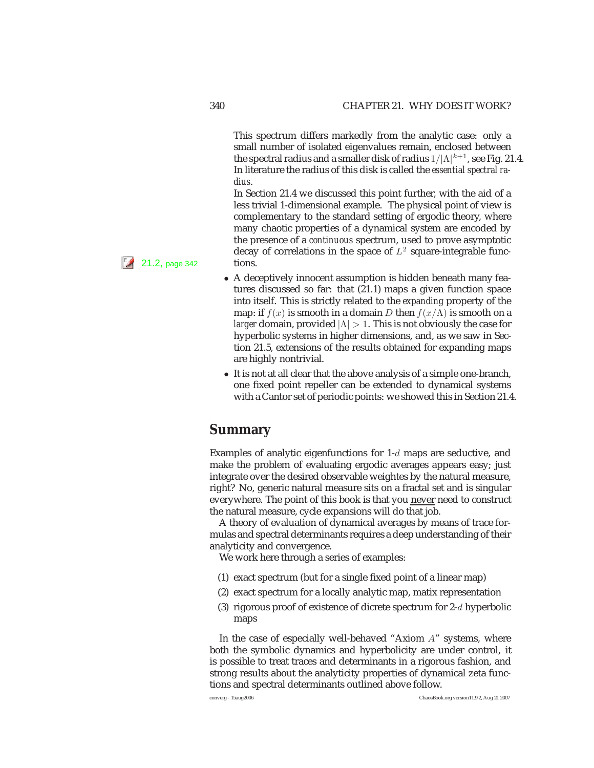This spectrum differs markedly from the analytic case: only a small number of isolated eigenvalues remain, enclosed between the spectral radius and a smaller disk of radius  $1/|\Lambda|^{k+1}$ , see Fig. 21.4. In literature the radius of this disk is called the *essential spectral radius*.

In Section 21.4 we discussed this point further, with the aid of a less trivial 1-dimensional example. The physical point of view is complementary to the standard setting of ergodic theory, where many chaotic properties of a dynamical system are encoded by the presence of a *continuous* spectrum, used to prove asymptotic decay of correlations in the space of  $L^2$  square-integrable func-

- A deceptively innocent assumption is hidden beneath many features discussed so far: that (21.1) maps a given function space into itself. This is strictly related to the *expanding* property of the map: if  $f(x)$  is smooth in a domain D then  $f(x/\Lambda)$  is smooth on a *larger* domain, provided  $|\Lambda| > 1$ . This is not obviously the case for hyperbolic systems in higher dimensions, and, as we saw in Section 21.5, extensions of the results obtained for expanding maps are highly nontrivial.
- It is not at all clear that the above analysis of a simple one-branch, one fixed point repeller can be extended to dynamical systems with a Cantor set of periodic points: we showed this in Section 21.4.

# **Summary**

Examples of analytic eigenfunctions for  $1-d$  maps are seductive, and make the problem of evaluating ergodic averages appears easy; just integrate over the desired observable weightes by the natural measure, right? No, generic natural measure sits on a fractal set and is singular everywhere. The point of this book is that you never need to construct the natural measure, cycle expansions will do that job.

A theory of evaluation of dynamical averages by means of trace formulas and spectral determinants requires a deep understanding of their analyticity and convergence.

We work here through a series of examples:

- (1) exact spectrum (but for a single fixed point of a linear map)
- (2) exact spectrum for a locally analytic map, matix representation
- (3) rigorous proof of existence of dicrete spectrum for  $2-d$  hyperbolic maps

In the case of especially well-behaved "Axiom A" systems, where both the symbolic dynamics and hyperbolicity are under control, it is possible to treat traces and determinants in a rigorous fashion, and strong results about the analyticity properties of dynamical zeta functions and spectral determinants outlined above follow.

 $\left| \frac{\epsilon}{2} \right|$  21.2, page 342 tions.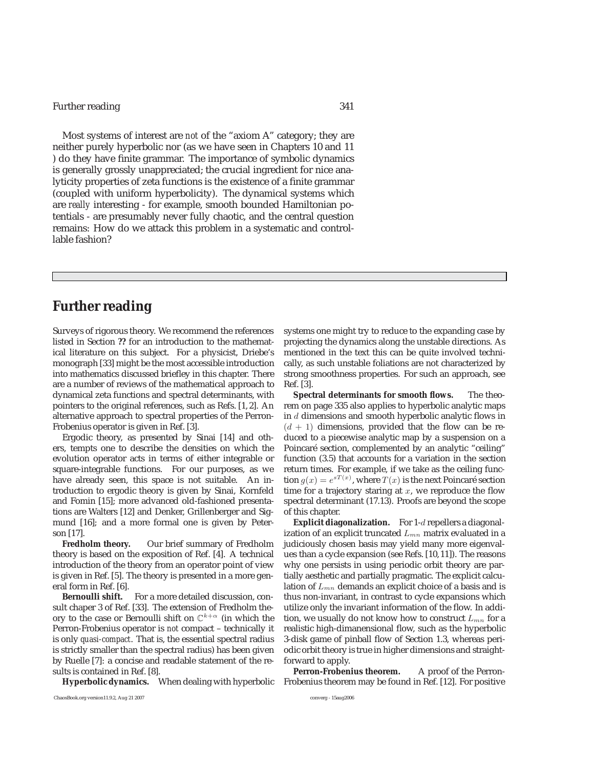# Further reading 341

Most systems of interest are *not* of the "axiom A" category; they are neither purely hyperbolic nor (as we have seen in Chapters 10 and 11 ) do they have finite grammar. The importance of symbolic dynamics is generally grossly unappreciated; the crucial ingredient for nice analyticity properties of zeta functions is the existence of a finite grammar (coupled with uniform hyperbolicity). The dynamical systems which are *really* interesting - for example, smooth bounded Hamiltonian potentials - are presumably never fully chaotic, and the central question remains: How do we attack this problem in a systematic and controllable fashion?

# **Further reading**

Surveys of rigorous theory. We recommend the references listed in Section **??** for an introduction to the mathematical literature on this subject. For a physicist, Driebe's monograph [33] might be the most accessible introduction into mathematics discussed briefley in this chapter. There are a number of reviews of the mathematical approach to dynamical zeta functions and spectral determinants, with pointers to the original references, such as Refs. [1, 2]. An alternative approach to spectral properties of the Perron-Frobenius operator is given in Ref. [3].

Ergodic theory, as presented by Sinai [14] and others, tempts one to describe the densities on which the evolution operator acts in terms of either integrable or square-integrable functions. For our purposes, as we have already seen, this space is not suitable. An introduction to ergodic theory is given by Sinai, Kornfeld and Fomin [15]; more advanced old-fashioned presentations are Walters [12] and Denker, Grillenberger and Sigmund [16]; and a more formal one is given by Peterson [17].

**Fredholm theory.** Our brief summary of Fredholm theory is based on the exposition of Ref. [4]. A technical introduction of the theory from an operator point of view is given in Ref. [5]. The theory is presented in a more general form in Ref. [6].

**Bernoulli shift.** For a more detailed discussion, consult chaper 3 of Ref. [33]. The extension of Fredholm theory to the case or Bernoulli shift on  $\mathbb{C}^{k+\alpha}$  (in which the Perron-Frobenius operator is *not* compact – technically it is only *quasi-compact*. That is, the essential spectral radius is strictly smaller than the spectral radius) has been given by Ruelle [7]: a concise and readable statement of the results is contained in Ref. [8].

**Hyperbolic dynamics.** When dealing with hyperbolic

systems one might try to reduce to the expanding case by projecting the dynamics along the unstable directions. As mentioned in the text this can be quite involved technically, as such unstable foliations are not characterized by strong smoothness properties. For such an approach, see Ref. [3].

**Spectral determinants for smooth flows.** The theorem on page 335 also applies to hyperbolic analytic maps in d dimensions and smooth hyperbolic analytic flows in  $(d + 1)$  dimensions, provided that the flow can be reduced to a piecewise analytic map by a suspension on a Poincaré section, complemented by an analytic "ceiling" function (3.5) that accounts for a variation in the section return times. For example, if we take as the ceiling function  $g(x) = e^{sT(x)}$ , where  $T(x)$  is the next Poincaré section<br>time for a trajectory staring at x, we reproduce the flow time for a trajectory staring at  $x$ , we reproduce the flow spectral determinant (17.13). Proofs are beyond the scope of this chapter.

**Explicit diagonalization.** For 1-d repellers a diagonalization of an explicit truncated  $L_{mn}$  matrix evaluated in a judiciously chosen basis may yield many more eigenvalues than a cycle expansion (see Refs. [10,11]). The reasons why one persists in using periodic orbit theory are partially aesthetic and partially pragmatic. The explicit calculation of  $L_{mn}$  demands an explicit choice of a basis and is thus non-invariant, in contrast to cycle expansions which utilize only the invariant information of the flow. In addition, we usually do not know how to construct  $L_{mn}$  for a realistic high-dimanensional flow, such as the hyperbolic 3-disk game of pinball flow of Section 1.3, whereas periodic orbit theory is true in higher dimensions and straightforward to apply.

Perron-Frobenius theorem. A proof of the Perron-Frobenius theorem may be found in Ref. [12]. For positive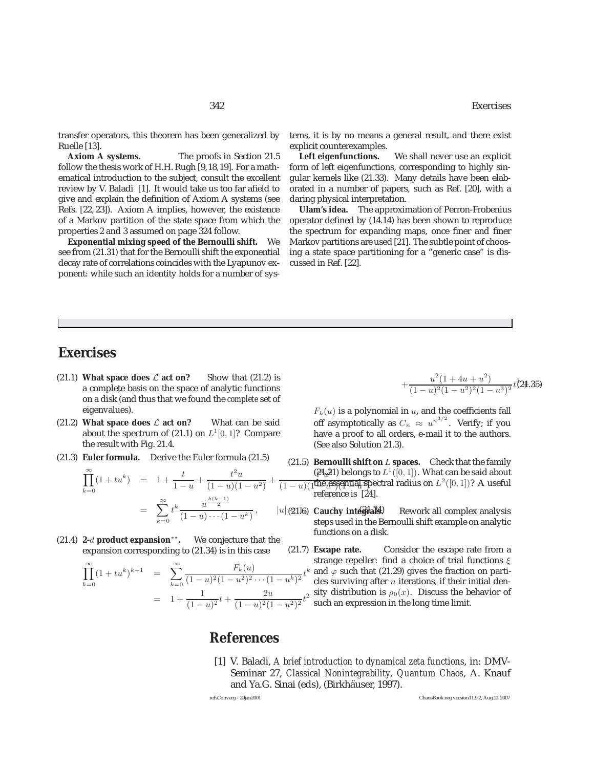transfer operators, this theorem has been generalized by

Ruelle [13].<br>**Axiom A systems.** The proofs in Section 21.5 follow the thesis work of H.H. Rugh [9,18,19]. For a mathematical introduction to the subject, consult the excellent review by V. Baladi [1]. It would take us too far afield to give and explain the definition of Axiom A systems (see Refs. [22, 23]). Axiom A implies, however, the existence of a Markov partition of the state space from which the properties 2 and 3 assumed on page 324 follow.

**Exponential mixing speed of the Bernoulli shift.** We see from (21.31) that for the Bernoulli shift the exponential decay rate of correlations coincides with the Lyapunov exponent: while such an identity holds for a number of systems, it is by no means a general result, and there exist explicit counterexamples.

**Left eigenfunctions.** We shall never use an explicit form of left eigenfunctions, corresponding to highly singular kernels like (21.33). Many details have been elaborated in a number of papers, such as Ref. [20], with a daring physical interpretation.

**Ulam's idea.** The approximation of Perron-Frobenius operator defined by (14.14) has been shown to reproduce the spectrum for expanding maps, once finer and finer Markov partitions are used [21]. The subtle point of choosing a state space partitioning for a "generic case" is discussed in Ref. [22].

# **Exercises**

- (21.1) **What space does**  $\mathcal{L}$  **act on?** Show that (21.2) is a complete basis on the space of analytic functions on a disk (and thus that we found the *complete* set of eigenvalues).
- (21.2) **What space does**  $\mathcal{L}$  **act on?** What can be said about the spectrum of (21.1) on  $L^1[0, 1]$ ? Compare the result with Fig. 21.4.
- (21.3) **Euler formula.** Derive the Euler formula (21.5)

$$
\prod_{k=0}^{\infty} (1 + tu^k) = 1 + \frac{t}{1 - u} + \frac{t^2 u}{(1 - u)(1 - u^2)} + \frac{t^2 u}{(1 - u)^2}
$$
\n
$$
= \sum_{k=0}^{\infty} t^k \frac{u^{\frac{k(k-1)}{2}}}{(1 - u) \cdots (1 - u^k)}, \qquad |u| \text{ (81)!}
$$

(21.4) **2-**d **product expansion**∗∗**.** We conjecture that the expansion corresponding to (21.34) is in this case

$$
\prod_{k=0}^{\infty} (1 + tu^k)^{k+1} = \sum_{k=0}^{\infty} \frac{F_k(u)}{(1-u)^2 (1-u^2)^2 \cdots (1-u^k)^2} t^k
$$

$$
= 1 + \frac{1}{(1-u)^2} t + \frac{2u}{(1-u)^2 (1-u^2)^2} t^2
$$

$$
+\frac{u^2(1+4u+u^2)}{(1-u)^2(1-u^2)^2(1-u^3)^2}t^{\frac{3}{2}}t^{\frac{2}{3}}(24.35)
$$

 $F_k(u)$  is a polynomial in  $u$ , and the coefficients fall off asymptotically as  $C_n \approx u^{n^{3/2}}$ . Verify; if you have a proof to all orders, e-mail it to the authors. (See also Solution 21.3).

- $(\mathcal{C}1_{\alpha}Z1)$  belongs to  $L^1([0,1])$ . What can be said about  $\frac{1}{(1-u)(1)^{\text{the}}}$  essential spectral radius on  $L^2([0,1])$ ? A useful reference is [24]. (21.5) **Bernoulli shift on** L **spaces.** Check that the family reference is [24].
	- (a)  $\alpha$  Cauchy integrals (1)  $\alpha$ Rework all complex analysis steps used in the Bernoulli shift example on analytic functions on a disk.
	- k (21.7) **Escape rate.** Consider the escape rate from a strange repeller: find a choice of trial functions  $\xi$ and  $\varphi$  such that (21.29) gives the fraction on particles surviving after  $n$  iterations, if their initial density distribution is  $\rho_0(x)$ . Discuss the behavior of such an expression in the long time limit.

# **References**

[1] V. Baladi, *A brief introduction to dynamical zeta functions*, in: DMV-Seminar 27, *Classical Nonintegrability, Quantum Chaos*, A. Knauf and Ya.G. Sinai (eds), (Birkhäuser, 1997).